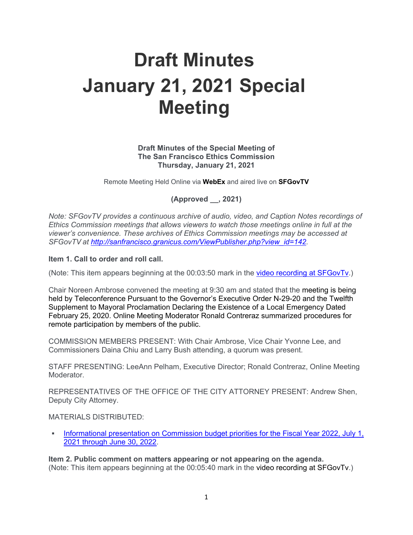# **Draft Minutes January 21, 2021 Special Meeting**

# **Draft Minutes of the Special Meeting of The San Francisco Ethics Commission Thursday, January 21, 2021**

Remote Meeting Held Online via **WebEx** and aired live on **SFGovTV**

**(Approved \_\_, 2021)**

*Note: SFGovTV provides a continuous archive of audio, video, and Caption Notes recordings of Ethics Commission meetings that allows viewers to watch those meetings online in full at the viewer's convenience. These archives of Ethics Commission meetings may be accessed at SFGovTV at [http://sanfrancisco.granicus.com/ViewPublisher.php?view\\_id=142.](http://sanfrancisco.granicus.com/ViewPublisher.php?view_id=142)* 

#### **Item 1. Call to order and roll call.**

(Note: This item appears beginning at the 00:03:50 mark in the [video recording at SFGovTv.](https://sanfrancisco.granicus.com/MediaPlayer.php?view_id=142&clip_id=37586))

Chair Noreen Ambrose convened the meeting at 9:30 am and stated that the meeting is being held by Teleconference Pursuant to the Governor's Executive Order N-29-20 and the Twelfth Supplement to Mayoral Proclamation Declaring the Existence of a Local Emergency Dated February 25, 2020. Online Meeting Moderator Ronald Contreraz summarized procedures for remote participation by members of the public.

COMMISSION MEMBERS PRESENT: With Chair Ambrose, Vice Chair Yvonne Lee, and Commissioners Daina Chiu and Larry Bush attending, a quorum was present.

STAFF PRESENTING: LeeAnn Pelham, Executive Director; Ronald Contreraz, Online Meeting **Moderator** 

REPRESENTATIVES OF THE OFFICE OF THE CITY ATTORNEY PRESENT: Andrew Shen, Deputy City Attorney.

#### MATERIALS DISTRIBUTED:

 [Informational presentation on Commission budget priorities for the Fiscal Year 2022, July 1,](https://sfethics.org/wp-content/uploads/2021/01/2021.01.21-Agenda-Item-3-Memo-and-Attachments-1-and-2.pdf)  [2021 through June 30, 2022.](https://sfethics.org/wp-content/uploads/2021/01/2021.01.21-Agenda-Item-3-Memo-and-Attachments-1-and-2.pdf)

**Item 2. Public comment on matters appearing or not appearing on the agenda.** (Note: This item appears beginning at the 00:05:40 mark in the video recording at SFGovTv.)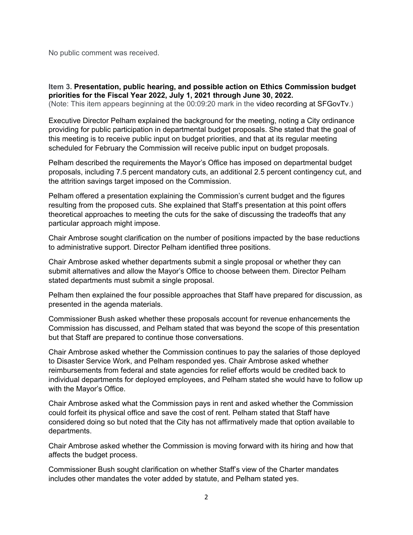No public comment was received.

**Item 3. Presentation, public hearing, and possible action on Ethics Commission budget priorities for the Fiscal Year 2022, July 1, 2021 through June 30, 2022.**

(Note: This item appears beginning at the 00:09:20 mark in the video recording at SFGovTv.)

Executive Director Pelham explained the background for the meeting, noting a City ordinance providing for public participation in departmental budget proposals. She stated that the goal of this meeting is to receive public input on budget priorities, and that at its regular meeting scheduled for February the Commission will receive public input on budget proposals.

Pelham described the requirements the Mayor's Office has imposed on departmental budget proposals, including 7.5 percent mandatory cuts, an additional 2.5 percent contingency cut, and the attrition savings target imposed on the Commission.

Pelham offered a presentation explaining the Commission's current budget and the figures resulting from the proposed cuts. She explained that Staff's presentation at this point offers theoretical approaches to meeting the cuts for the sake of discussing the tradeoffs that any particular approach might impose.

Chair Ambrose sought clarification on the number of positions impacted by the base reductions to administrative support. Director Pelham identified three positions.

Chair Ambrose asked whether departments submit a single proposal or whether they can submit alternatives and allow the Mayor's Office to choose between them. Director Pelham stated departments must submit a single proposal.

Pelham then explained the four possible approaches that Staff have prepared for discussion, as presented in the agenda materials.

Commissioner Bush asked whether these proposals account for revenue enhancements the Commission has discussed, and Pelham stated that was beyond the scope of this presentation but that Staff are prepared to continue those conversations.

Chair Ambrose asked whether the Commission continues to pay the salaries of those deployed to Disaster Service Work, and Pelham responded yes. Chair Ambrose asked whether reimbursements from federal and state agencies for relief efforts would be credited back to individual departments for deployed employees, and Pelham stated she would have to follow up with the Mayor's Office.

Chair Ambrose asked what the Commission pays in rent and asked whether the Commission could forfeit its physical office and save the cost of rent. Pelham stated that Staff have considered doing so but noted that the City has not affirmatively made that option available to departments.

Chair Ambrose asked whether the Commission is moving forward with its hiring and how that affects the budget process.

Commissioner Bush sought clarification on whether Staff's view of the Charter mandates includes other mandates the voter added by statute, and Pelham stated yes.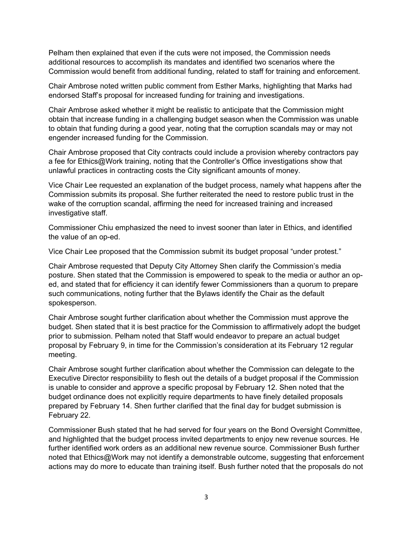Pelham then explained that even if the cuts were not imposed, the Commission needs additional resources to accomplish its mandates and identified two scenarios where the Commission would benefit from additional funding, related to staff for training and enforcement.

Chair Ambrose noted written public comment from Esther Marks, highlighting that Marks had endorsed Staff's proposal for increased funding for training and investigations.

Chair Ambrose asked whether it might be realistic to anticipate that the Commission might obtain that increase funding in a challenging budget season when the Commission was unable to obtain that funding during a good year, noting that the corruption scandals may or may not engender increased funding for the Commission.

Chair Ambrose proposed that City contracts could include a provision whereby contractors pay a fee for Ethics@Work training, noting that the Controller's Office investigations show that unlawful practices in contracting costs the City significant amounts of money.

Vice Chair Lee requested an explanation of the budget process, namely what happens after the Commission submits its proposal. She further reiterated the need to restore public trust in the wake of the corruption scandal, affirming the need for increased training and increased investigative staff.

Commissioner Chiu emphasized the need to invest sooner than later in Ethics, and identified the value of an op-ed.

Vice Chair Lee proposed that the Commission submit its budget proposal "under protest."

Chair Ambrose requested that Deputy City Attorney Shen clarify the Commission's media posture. Shen stated that the Commission is empowered to speak to the media or author an oped, and stated that for efficiency it can identify fewer Commissioners than a quorum to prepare such communications, noting further that the Bylaws identify the Chair as the default spokesperson.

Chair Ambrose sought further clarification about whether the Commission must approve the budget. Shen stated that it is best practice for the Commission to affirmatively adopt the budget prior to submission. Pelham noted that Staff would endeavor to prepare an actual budget proposal by February 9, in time for the Commission's consideration at its February 12 regular meeting.

Chair Ambrose sought further clarification about whether the Commission can delegate to the Executive Director responsibility to flesh out the details of a budget proposal if the Commission is unable to consider and approve a specific proposal by February 12. Shen noted that the budget ordinance does not explicitly require departments to have finely detailed proposals prepared by February 14. Shen further clarified that the final day for budget submission is February 22.

Commissioner Bush stated that he had served for four years on the Bond Oversight Committee, and highlighted that the budget process invited departments to enjoy new revenue sources. He further identified work orders as an additional new revenue source. Commissioner Bush further noted that Ethics@Work may not identify a demonstrable outcome, suggesting that enforcement actions may do more to educate than training itself. Bush further noted that the proposals do not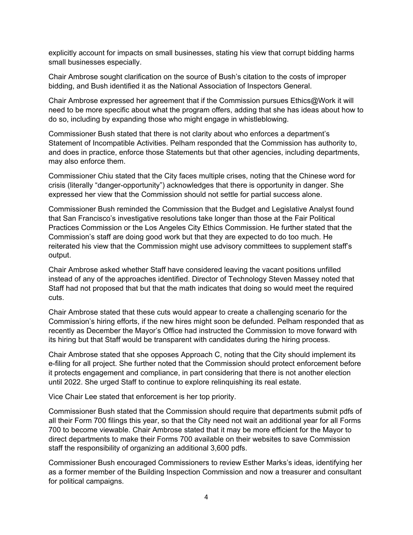explicitly account for impacts on small businesses, stating his view that corrupt bidding harms small businesses especially.

Chair Ambrose sought clarification on the source of Bush's citation to the costs of improper bidding, and Bush identified it as the National Association of Inspectors General.

Chair Ambrose expressed her agreement that if the Commission pursues Ethics@Work it will need to be more specific about what the program offers, adding that she has ideas about how to do so, including by expanding those who might engage in whistleblowing.

Commissioner Bush stated that there is not clarity about who enforces a department's Statement of Incompatible Activities. Pelham responded that the Commission has authority to, and does in practice, enforce those Statements but that other agencies, including departments, may also enforce them.

Commissioner Chiu stated that the City faces multiple crises, noting that the Chinese word for crisis (literally "danger-opportunity") acknowledges that there is opportunity in danger. She expressed her view that the Commission should not settle for partial success alone.

Commissioner Bush reminded the Commission that the Budget and Legislative Analyst found that San Francisco's investigative resolutions take longer than those at the Fair Political Practices Commission or the Los Angeles City Ethics Commission. He further stated that the Commission's staff are doing good work but that they are expected to do too much. He reiterated his view that the Commission might use advisory committees to supplement staff's output.

Chair Ambrose asked whether Staff have considered leaving the vacant positions unfilled instead of any of the approaches identified. Director of Technology Steven Massey noted that Staff had not proposed that but that the math indicates that doing so would meet the required cuts.

Chair Ambrose stated that these cuts would appear to create a challenging scenario for the Commission's hiring efforts, if the new hires might soon be defunded. Pelham responded that as recently as December the Mayor's Office had instructed the Commission to move forward with its hiring but that Staff would be transparent with candidates during the hiring process.

Chair Ambrose stated that she opposes Approach C, noting that the City should implement its e-filing for all project. She further noted that the Commission should protect enforcement before it protects engagement and compliance, in part considering that there is not another election until 2022. She urged Staff to continue to explore relinquishing its real estate.

Vice Chair Lee stated that enforcement is her top priority.

Commissioner Bush stated that the Commission should require that departments submit pdfs of all their Form 700 filings this year, so that the City need not wait an additional year for all Forms 700 to become viewable. Chair Ambrose stated that it may be more efficient for the Mayor to direct departments to make their Forms 700 available on their websites to save Commission staff the responsibility of organizing an additional 3,600 pdfs.

Commissioner Bush encouraged Commissioners to review Esther Marks's ideas, identifying her as a former member of the Building Inspection Commission and now a treasurer and consultant for political campaigns.